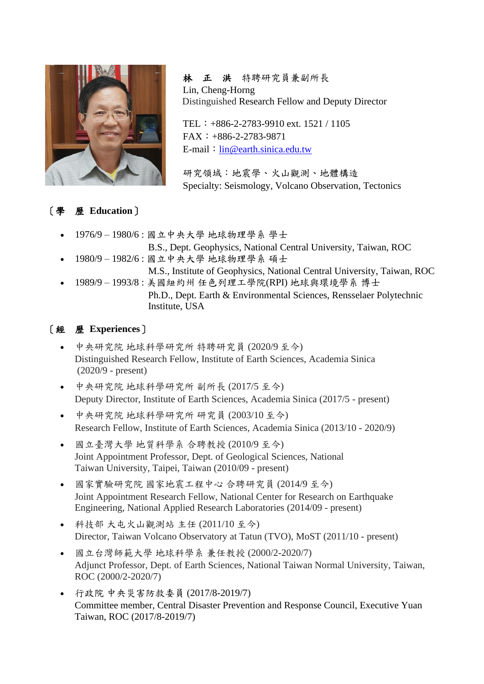

 林 正 洪 特聘研究員兼副所長 Lin, Cheng-Horng Distinguished Research Fellow and Deputy Director

TEL:+886-2-2783-9910 ext. 1521 / 1105 FAX:+886-2-2783-9871 E-mail: [lin@earth.sinica.edu.tw](mailto:lin@earth.sinica.edu.tw)

研究領域:地震學、火山觀測、地體構造 Specialty: Seismology, Volcano Observation, Tectonics

### [學 歷 **Education**]

- 1976/9 1980/6 : 國立中央大學 地球物理學系 學士 B.S., Dept. Geophysics, National Central University, Taiwan, ROC
- 1980/9 1982/6 : 國立中央大學 地球物理學系 碩士

M.S., Institute of Geophysics, National Central University, Taiwan, ROC

• 1989/9 – 1993/8 : 美國紐約州 任色列理工學院(RPI) 地球與環境學系 博士 Ph.D., Dept. Earth & Environmental Sciences, Rensselaer Polytechnic Institute, USA

## [經 歷 **Experiences**]

- 中央研究院 地球科學研究所 特聘研究員 (2020/9 至今) Distinguished Research Fellow, Institute of Earth Sciences, Academia Sinica (2020/9 - present)
- 中央研究院 地球科學研究所 副所長 (2017/5 至今) Deputy Director, Institute of Earth Sciences, Academia Sinica (2017/5 - present)
- 中央研究院 地球科學研究所 研究員 (2003/10 至今) Research Fellow, Institute of Earth Sciences, Academia Sinica (2013/10 - 2020/9)
- 國立臺灣大學 地質科學系 合聘教授 (2010/9 至今) Joint Appointment Professor, Dept. of Geological Sciences, National Taiwan University, Taipei, Taiwan (2010/09 - present)
- 國家實驗研究院 國家地震工程中心 合聘研究員 (2014/9 至今) Joint Appointment Research Fellow, National Center for Research on Earthquake Engineering, National Applied Research Laboratories (2014/09 - present)
- 科技部 大屯火山觀測站 主任 (2011/10 至今) Director, Taiwan Volcano Observatory at Tatun (TVO), MoST (2011/10 - present)
- 國立台灣師範大學 地球科學系 兼任教授 (2000/2-2020/7) Adjunct Professor, Dept. of Earth Sciences, National Taiwan Normal University, Taiwan, ROC (2000/2-2020/7)
- 行政院 中央災害防救委員 (2017/8-2019/7) Committee member, Central Disaster Prevention and Response Council, Executive Yuan Taiwan, ROC (2017/8-2019/7)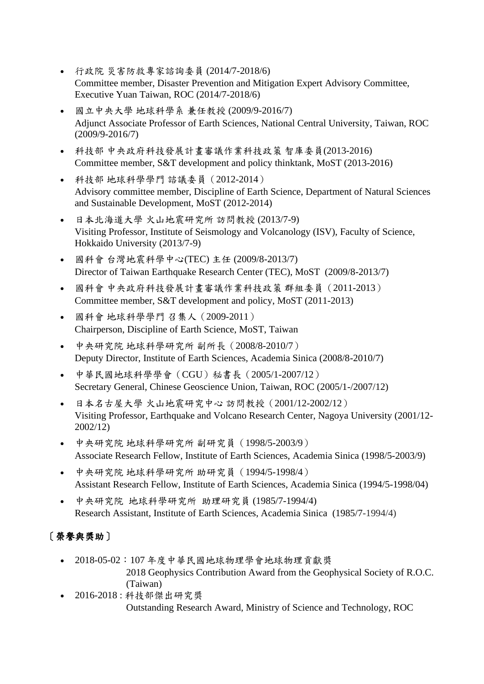- 行政院 災害防救專家諮詢委員 (2014/7-2018/6) Committee member, Disaster Prevention and Mitigation Expert Advisory Committee, Executive Yuan Taiwan, ROC (2014/7-2018/6)
- 國立中央大學 地球科學系 兼任教授 (2009/9-2016/7) Adjunct Associate Professor of Earth Sciences, National Central University, Taiwan, ROC (2009/9-2016/7)
- 科技部 中央政府科技發展計畫審議作業科技政策 智庫委員(2013-2016) Committee member, S&T development and policy thinktank, MoST (2013-2016)
- 科技部 地球科學學門 諮議委員(2012-2014) Advisory committee member, Discipline of Earth Science, Department of Natural Sciences and Sustainable Development, MoST (2012-2014)
- 日本北海道大學 火山地震研究所 訪問教授 (2013/7-9) Visiting Professor, Institute of Seismology and Volcanology (ISV), Faculty of Science, Hokkaido University (2013/7-9)
- 國科會 台灣地震科學中心(TEC) 主任 (2009/8-2013/7) Director of Taiwan Earthquake Research Center (TEC), MoST (2009/8-2013/7)
- 國科會 中央政府科技發展計畫審議作業科技政策 群組委員(2011-2013) Committee member, S&T development and policy, MoST (2011-2013)
- 國科會 地球科學學門 召集人(2009-2011) Chairperson, Discipline of Earth Science, MoST, Taiwan
- 中央研究院 地球科學研究所 副所長(2008/8-2010/7) Deputy Director, Institute of Earth Sciences, Academia Sinica (2008/8-2010/7)
- 中華民國地球科學學會(CGU)秘書長(2005/1-2007/12) Secretary General, Chinese Geoscience Union, Taiwan, ROC (2005/1-/2007/12)
- 日本名古屋大學 火山地震研究中心 訪問教授(2001/12-2002/12) Visiting Professor, Earthquake and Volcano Research Center, Nagoya University (2001/12- 2002/12)
- 中央研究院 地球科學研究所 副研究員(1998/5-2003/9) Associate Research Fellow, Institute of Earth Sciences, Academia Sinica (1998/5-2003/9)
- 中央研究院 地球科學研究所 助研究員(1994/5-1998/4) Assistant Research Fellow, Institute of Earth Sciences, Academia Sinica (1994/5-1998/04)
- 中央研究院 地球科學研究所 助理研究員 (1985/7-1994/4) Research Assistant, Institute of Earth Sciences, Academia Sinica (1985/7-1994/4)

# [榮譽與獎助]

- 2018-05-02:107 年度中華民國地球物理學會地球物理貢獻獎 2018 Geophysics Contribution Award from the Geophysical Society of R.O.C. (Taiwan)
- 2016-2018 : 科技部傑出研究獎 Outstanding Research Award, Ministry of Science and Technology, ROC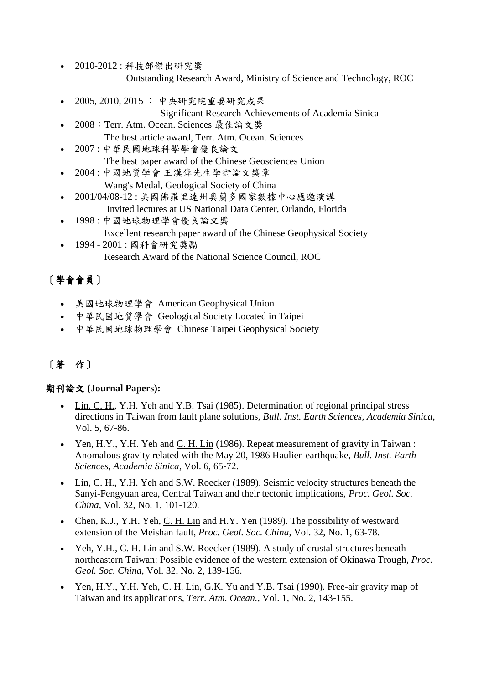- 2010-2012 : 科技部傑出研究獎 Outstanding Research Award, Ministry of Science and Technology, ROC
- 2005, 2010, 2015 : 中央研究院重要研究成果
	- Significant Research Achievements of Academia Sinica
- 2008:Terr. Atm. Ocean. Sciences 最佳論文獎 The best article award, Terr. Atm. Ocean. Sciences
- 2007 : 中華民國地球科學學會優良論文 The best paper award of the Chinese Geosciences Union
- 2004 : 中國地質學會 王漢倬先生學術論文獎章 Wang's Medal, Geological Society of China
- 2001/04/08-12 : 美國佛羅里達州奧蘭多國家數據中心應邀演講 Invited lectures at US National Data Center, Orlando, Florida
- 1998 : 中國地球物理學會優良論文獎 Excellent research paper award of the Chinese Geophysical Society • 1994 - 2001 : 國科會研究獎勵
	- Research Award of the National Science Council, ROC

# [學會會員]

- 美國地球物理學會 American Geophysical Union
- 中華民國地質學會 Geological Society Located in Taipei
- 中華民國地球物理學會 Chinese Taipei Geophysical Society

# [著 作]

### 期刊論文 **(Journal Papers):**

- Lin, C. H., Y.H. Yeh and Y.B. Tsai (1985). Determination of regional principal stress directions in Taiwan from fault plane solutions, *Bull. Inst. Earth Sciences*, *Academia Sinica*, Vol. 5, 67-86.
- Yen, H.Y., Y.H. Yeh and  $C$ . H. Lin (1986). Repeat measurement of gravity in Taiwan : Anomalous gravity related with the May 20, 1986 Haulien earthquake, *Bull. Inst. Earth Sciences, Academia Sinica*, Vol. 6, 65-72.
- Lin, C. H., Y.H. Yeh and S.W. Roecker (1989). Seismic velocity structures beneath the Sanyi-Fengyuan area, Central Taiwan and their tectonic implications, *Proc. Geol. Soc. China*, Vol. 32, No. 1, 101-120.
- Chen, K.J., Y.H. Yeh, C. H. Lin and H.Y. Yen (1989). The possibility of westward extension of the Meishan fault, *Proc. Geol. Soc. China*, Vol. 32, No. 1, 63-78.
- Yeh, Y.H., C. H. Lin and S.W. Roecker (1989). A study of crustal structures beneath northeastern Taiwan: Possible evidence of the western extension of Okinawa Trough, *Proc. Geol. Soc. China*, Vol. 32, No. 2, 139-156.
- Yen, H.Y., Y.H. Yeh, C. H. Lin, G.K. Yu and Y.B. Tsai (1990). Free-air gravity map of Taiwan and its applications, *Terr. Atm. Ocean.*, Vol. 1, No. 2, 143-155.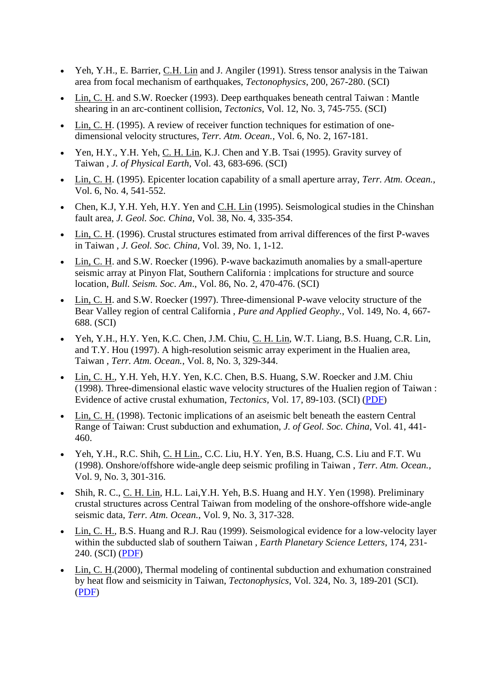- Yeh, Y.H., E. Barrier, C.H. Lin and J. Angiler (1991). Stress tensor analysis in the Taiwan area from focal mechanism of earthquakes, *Tectonophysics*, 200, 267-280. (SCI)
- Lin, C. H. and S.W. Roecker (1993). Deep earthquakes beneath central Taiwan : Mantle shearing in an arc-continent collision, *Tectonics*, Vol. 12, No. 3, 745-755. (SCI)
- Lin, C. H. (1995). A review of receiver function techniques for estimation of onedimensional velocity structures, *Terr. Atm. Ocean.,* Vol. 6, No. 2, 167-181.
- Yen, H.Y., Y.H. Yeh, C. H. Lin, K.J. Chen and Y.B. Tsai (1995). Gravity survey of Taiwan , *J. of Physical Earth*, Vol. 43, 683-696. (SCI)
- Lin, C. H. (1995). Epicenter location capability of a small aperture array, *Terr. Atm. Ocean.*, Vol. 6, No. 4, 541-552.
- Chen, K.J, Y.H. Yeh, H.Y. Yen and C.H. Lin (1995). Seismological studies in the Chinshan fault area, *J. Geol. Soc. China*, Vol. 38, No. 4, 335-354.
- Lin, C. H. (1996). Crustal structures estimated from arrival differences of the first P-waves in Taiwan , *J. Geol. Soc. China,* Vol. 39, No. 1, 1-12.
- Lin, C. H. and S.W. Roecker (1996). P-wave backazimuth anomalies by a small-aperture seismic array at Pinyon Flat, Southern California : implcations for structure and source location, *Bull. Seism. Soc. Am*., Vol. 86, No. 2, 470-476. (SCI)
- Lin, C. H. and S.W. Roecker (1997). Three-dimensional P-wave velocity structure of the Bear Valley region of central California , *Pure and Applied Geophy.,* Vol. 149, No. 4, 667- 688. (SCI)
- Yeh, Y.H., H.Y. Yen, K.C. Chen, J.M. Chiu, C. H. Lin, W.T. Liang, B.S. Huang, C.R. Lin, and T.Y. Hou (1997). A high-resolution seismic array experiment in the Hualien area, Taiwan , *Terr. Atm. Ocean.*, Vol. 8, No. 3, 329-344.
- Lin, C. H., Y.H. Yeh, H.Y. Yen, K.C. Chen, B.S. Huang, S.W. Roecker and J.M. Chiu (1998). Three-dimensional elastic wave velocity structures of the Hualien region of Taiwan : Evidence of active crustal exhumation, *Tectonics,* Vol. 17, 89-103. (SCI) [\(PDF\)](http://www.earth.sinica.edu.tw/content/papers/LinCH/97TC02510.pdf)
- Lin, C. H. (1998). Tectonic implications of an aseismic belt beneath the eastern Central Range of Taiwan: Crust subduction and exhumation, *J. of Geol. Soc. China*, Vol. 41, 441- 460.
- Yeh, Y.H., R.C. Shih, C. H Lin., C.C. Liu, H.Y. Yen, B.S. Huang, C.S. Liu and F.T. Wu (1998). Onshore/offshore wide-angle deep seismic profiling in Taiwan , *Terr. Atm. Ocean.,*  Vol. 9, No. 3, 301-316.
- Shih, R. C., C. H. Lin, H.L. Lai,Y.H. Yeh, B.S. Huang and H.Y. Yen (1998). Preliminary crustal structures across Central Taiwan from modeling of the onshore-offshore wide-angle seismic data, *Terr. Atm. Ocean.*, Vol. 9, No. 3, 317-328.
- Lin, C. H., B.S. Huang and R.J. Rau (1999). Seismological evidence for a low-velocity layer within the subducted slab of southern Taiwan , *Earth Planetary Science Letters*, 174, 231- 240. (SCI) [\(PDF\)](http://www.earth.sinica.edu.tw/content/papers/LinCH/epsl.pdf)
- Lin, C. H. (2000), Thermal modeling of continental subduction and exhumation constrained by heat flow and seismicity in Taiwan, *Tectonophysics*, Vol. 324, No. 3, 189-201 (SCI). [\(PDF\)](http://www.earth.sinica.edu.tw/content/papers/LinCH/tectonophysic.pdf)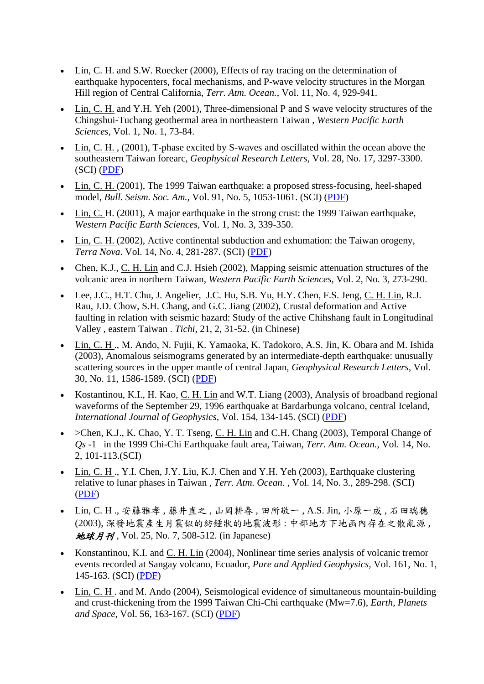- Lin, C. H. and S.W. Roecker (2000), Effects of ray tracing on the determination of earthquake hypocenters, focal mechanisms, and P-wave velocity structures in the Morgan Hill region of Central California, *Terr. Atm. Ocean.*, Vol. 11, No. 4, 929-941.
- Lin, C. H. and Y.H. Yeh (2001), Three-dimensional P and S wave velocity structures of the Chingshui-Tuchang geothermal area in northeastern Taiwan , *Western Pacific Earth Sciences*, Vol. 1, No. 1, 73-84.
- Lin, C. H., (2001), T-phase excited by S-waves and oscillated within the ocean above the southeastern Taiwan forearc, *Geophysical Research Letters,* Vol. 28, No. 17, 3297-3300. (SCI) [\(PDF\)](http://www.earth.sinica.edu.tw/content/papers/LinCH/2001GL013152.pdf)
- Lin, C. H. (2001), The 1999 Taiwan earthquake: a proposed stress-focusing, heel-shaped model, *Bull. Seism. Soc. Am.,* Vol. 91, No. 5, 1053-1061. (SCI) [\(PDF\)](http://www.earth.sinica.edu.tw/content/papers/LinCH/ssa00723.pdf)
- Lin, C. H. (2001), A major earthquake in the strong crust: the 1999 Taiwan earthquake, *Western Pacific Earth Sciences,* Vol. 1, No. 3, 339-350.
- Lin, C. H. (2002), Active continental subduction and exhumation: the Taiwan orogeny, *Terra Nova*. Vol. 14, No. 4, 281-287. (SCI) [\(PDF\)](http://www.earth.sinica.edu.tw/content/papers/LinCH/nova.pdf)
- Chen, K.J., C. H. Lin and C.J. Hsieh (2002), Mapping seismic attenuation structures of the volcanic area in northern Taiwan, *Western Pacific Earth Sciences*, Vol. 2, No. 3, 273-290.
- Lee, J.C., H.T. Chu, J. Angelier, J.C. Hu, S.B. Yu, H.Y. Chen, F.S. Jeng, C. H. Lin, R.J. Rau, J.D. Chow, S.H. Chang, and G.C. Jiang (2002), Crustal deformation and Active faulting in relation with seismic hazard: Study of the active Chihshang fault in Longitudinal Valley , eastern Taiwan . *Tichi*, 21, 2, 31-52. (in Chinese)
- Lin, C. H ., M. Ando, N. Fujii, K. Yamaoka, K. Tadokoro, A.S. Jin, K. Obara and M. Ishida (2003), Anomalous seismograms generated by an intermediate-depth earthquake: unusually scattering sources in the upper mantle of central Japan, *Geophysical Research Letters,* Vol. 30, No. 11, 1586-1589. (SCI) [\(PDF\)](http://www.earth.sinica.edu.tw/content/papers/LinCH/2002GL016837.pdf)
- Kostantinou, K.I., H. Kao, C. H. Lin and W.T. Liang (2003), Analysis of broadband regional waveforms of the September 29, 1996 earthquake at Bardarbunga volcano, central Iceland, *International Journal of Geophysics,* Vol. 154, 134-145. (SCI) [\(PDF\)](http://www.earth.sinica.edu.tw/content/papers/LinCH/gji_1932134-145.pdf)
- $\geq$ Chen, K.J., K. Chao, Y. T. Tseng, C. H. Lin and C.H. Chang (2003), Temporal Change of *Qs* -1 in the 1999 Chi-Chi Earthquake fault area, Taiwan, *Terr. Atm. Ocean.*, Vol. 14, No. 2, 101-113.(SCI)
- Lin, C. H ., Y.I. Chen, J.Y. Liu, K.J. Chen and Y.H. Yeh (2003), Earthquake clustering relative to lunar phases in Taiwan , *Terr. Atm. Ocean.* , Vol. 14, No. 3., 289-298. (SCI) [\(PDF\)](http://www.earth.sinica.edu.tw/content/papers/LinCH/tide-tao.pdf)
- Lin, C. H ., 安藤雅孝 , 藤井直之 , 山岡耕春 , 田所敬一 , A.S. Jin, 小原一成 , 石田瑞穗 (2003), 深發地震產生月震似的紡錘狀的地震波形 : 中部地方下地函內存在之散亂源 , 地球月刊, Vol. 25, No. 7, 508-512. (in Japanese)
- Konstantinou, K.I. and C. H. Lin (2004), Nonlinear time series analysis of volcanic tremor events recorded at Sangay volcano, Ecuador, *Pure and Applied Geophysics,* Vol. 161, No. 1, 145-163. (SCI) [\(PDF\)](http://www.earth.sinica.edu.tw/content/papers/LinCH/PAGEPH-2004.pdf)
- Lin, C. H. and M. Ando (2004), Seismological evidence of simultaneous mountain-building and crust-thickening from the 1999 Taiwan Chi-Chi earthquake (Mw=7.6), *Earth, Planets and Space*, Vol. 56, 163-167. (SCI) [\(PDF\)](http://www.earth.sinica.edu.tw/content/papers/LinCH/eps.pdf)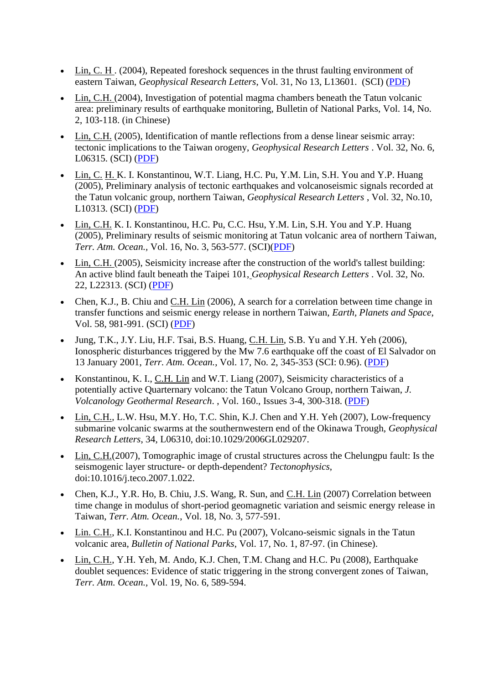- Lin, C. H. (2004), Repeated foreshock sequences in the thrust faulting environment of eastern Taiwan, *Geophysical Research Letters*, Vol. 31, No 13, L13601. (SCI) [\(PDF\)](http://www.earth.sinica.edu.tw/content/papers/LinCH/2004GL019833.pdf)
- Lin, C.H. (2004), Investigation of potential magma chambers beneath the Tatun volcanic area: preliminary results of earthquake monitoring, Bulletin of National Parks, Vol. 14, No. 2, 103-118. (in Chinese)
- Lin, C.H. (2005), Identification of mantle reflections from a dense linear seismic array: tectonic implications to the Taiwan orogeny, *Geophysical Research Letters* . Vol. 32, No. 6, L06315. (SCI) [\(PDF\)](http://www.earth.sinica.edu.tw/content/papers/LinCH/2004GL021814.pdf)
- Lin, C. H. K. I. Konstantinou, W.T. Liang, H.C. Pu, Y.M. Lin, S.H. You and Y.P. Huang (2005), Preliminary analysis of tectonic earthquakes and volcanoseismic signals recorded at the Tatun volcanic group, northern Taiwan, *Geophysical Research Letters* , Vol. 32, No.10, L10313. (SCI) [\(PDF\)](http://www.earth.sinica.edu.tw/content/papers/LinCH/2005GL022861.pdf)
- Lin, C.H. K. I. Konstantinou, H.C. Pu, C.C. Hsu, Y.M. Lin, S.H. You and Y.P. Huang (2005), Preliminary results of seismic monitoring at Tatun volcanic area of northern Taiwan, *Terr. Atm. Ocean.,* Vol. 16, No. 3, 563-577. (SCI)[\(PDF\)](http://www.earth.sinica.edu.tw/content/papers/LinCH/tao-2005.pdf)
- Lin, C.H. (2005), Seismicity increase after the construction of the world's tallest building: An active blind fault beneath the Taipei 101, *Geophysical Research Letters* . Vol. 32, No. 22, L22313. (SCI) [\(PDF\)](http://www.earth.sinica.edu.tw/content/papers/LinCH/2005GL024223.pdf)
- Chen, K.J., B. Chiu and C.H. Lin (2006), A search for a correlation between time change in transfer functions and seismic energy release in northern Taiwan, *Earth, Planets and Space*, Vol. 58, 981-991. (SCI) [\(PDF\)](http://www.earth.sinica.edu.tw/content/papers/LinCH/eps2006.pdf)
- Jung, T.K., J.Y. Liu, H.F. Tsai, B.S. Huang, C.H. Lin, S.B. Yu and Y.H. Yeh (2006), Ionospheric disturbances triggered by the Mw 7.6 earthquake off the coast of El Salvador on 13 January 2001, *Terr. Atm. Ocean.*, Vol. 17, No. 2, 345-353 (SCI: 0.96). [\(PDF\)](http://www.earth.sinica.edu.tw/content/papers/LinCH/tao2006.pdf)
- Konstantinou, K. I., C.H. Lin and W.T. Liang (2007), Seismicity characteristics of a potentially active Quarternary volcano: the Tatun Volcano Group, northern Taiwan, *J. Volcanology Geothermal Research*. , Vol. 160., Issues 3-4, 300-318. [\(PDF\)](http://www.earth.sinica.edu.tw/content/papers/LinCH/JVGR_2006.pdf)
- Lin, C.H., L.W. Hsu, M.Y. Ho, T.C. Shin, K.J. Chen and Y.H. Yeh (2007), Low-frequency submarine volcanic swarms at the southernwestern end of the Okinawa Trough, *Geophysical Research Letters*, 34, L06310, doi:10.1029/2006GL029207.
- Lin, C.H.(2007), Tomographic image of crustal structures across the Chelungpu fault: Is the seismogenic layer structure- or depth-dependent? *Tectonophysics*, doi:10.1016/j.teco.2007.1.022.
- Chen, K.J., Y.R. Ho, B. Chiu, J.S. Wang, R. Sun, and C.H. Lin (2007) Correlation between time change in modulus of short-period geomagnetic variation and seismic energy release in Taiwan, *Terr. Atm. Ocean.*, Vol. 18, No. 3, 577-591.
- Lin. C.H., K.I. Konstantinou and H.C. Pu (2007), Volcano-seismic signals in the Tatun volcanic area, *Bulletin of National Parks*, Vol. 17, No. 1, 87-97. (in Chinese).
- Lin, C.H., Y.H. Yeh, M. Ando, K.J. Chen, T.M. Chang and H.C. Pu (2008), Earthquake doublet sequences: Evidence of static triggering in the strong convergent zones of Taiwan, *Terr. Atm. Ocean.,* Vol. 19, No. 6, 589-594.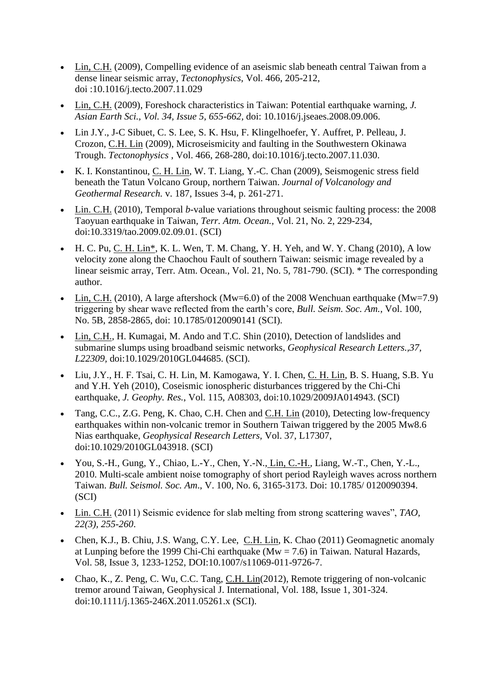- Lin, C.H. (2009), Compelling evidence of an aseismic slab beneath central Taiwan from a dense linear seismic array, *Tectonophysics*, Vol. 466, 205-212, doi :10.1016/j.tecto.2007.11.029
- Lin, C.H. (2009), Foreshock characteristics in Taiwan: Potential earthquake warning, *J. Asian Earth Sci., Vol. 34, Issue 5, 655-662,* doi: 10.1016/j.jseaes.2008.09.006.
- Lin J.Y., J-C Sibuet, C. S. Lee, S. K. Hsu, F. Klingelhoefer, Y. Auffret, P. Pelleau, J. Crozon, C.H. Lin (2009), Microseismicity and faulting in the Southwestern Okinawa Trough. *Tectonophysics* , Vol. 466, 268-280, doi:10.1016/j.tecto.2007.11.030.
- K. I. Konstantinou, C. H. Lin, W. T. Liang, Y.-C. Chan (2009), Seismogenic stress field beneath the Tatun Volcano Group, northern Taiwan. *Journal of Volcanology and Geothermal Research.* v. 187, Issues 3-4, p. 261-271.
- Lin. C.H. (2010), Temporal *b*-value variations throughout seismic faulting process: the 2008 Taoyuan earthquake in Taiwan, *Terr. Atm. Ocean.,* Vol. 21, No. 2, 229-234, doi:10.3319/tao.2009.02.09.01. (SCI)
- H. C. Pu, C. H. Lin<sup>\*</sup>, K. L. Wen, T. M. Chang, Y. H. Yeh, and W. Y. Chang (2010), A low velocity zone along the Chaochou Fault of southern Taiwan: seismic image revealed by a linear seismic array, Terr. Atm. Ocean., Vol. 21, No. 5, 781-790. (SCI). \* The corresponding author.
- Lin, C.H. (2010), A large aftershock (Mw=6.0) of the 2008 Wenchuan earthquake (Mw=7.9) triggering by shear wave reflected from the earth's core, *Bull. Seism. Soc. Am.*, Vol. 100, No. 5B, 2858-2865, doi: 10.1785/0120090141 (SCI).
- Lin, C.H., H. Kumagai, M. Ando and T.C. Shin (2010), Detection of landslides and submarine slumps using broadband seismic networks, *Geophysical Research Letters.,37, L22309,* doi:10.1029/2010GL044685. (SCI).
- Liu, J.Y., H. F. Tsai, C. H. Lin, M. Kamogawa, Y. I. Chen, C. H. Lin, B. S. Huang, S.B. Yu and Y.H. Yeh (2010), Coseismic ionospheric disturbances triggered by the Chi-Chi earthquake, *J. Geophy. Res.*, Vol. 115, A08303, doi:10.1029/2009JA014943. (SCI)
- Tang, C.C., Z.G. Peng, K. Chao, C.H. Chen and C.H. Lin (2010), Detecting low-frequency earthquakes within non-volcanic tremor in Southern Taiwan triggered by the 2005 Mw8.6 Nias earthquake, *Geophysical Research Letters,* Vol. 37, L17307, doi:10.1029/2010GL043918. (SCI)
- You, S.-H., Gung, Y., Chiao, L.-Y., Chen, Y.-N., Lin, C.-H., Liang, W.-T., Chen, Y.-L., 2010. Multi-scale ambient noise tomography of short period Rayleigh waves across northern Taiwan. *Bull. Seismol. Soc. Am*., V. 100, No. 6, 3165-3173. Doi: 10.1785/ 0120090394. (SCI)
- Lin. C.H. (2011) Seismic evidence for slab melting from strong scattering waves", *TAO, 22(3), 255-260*.
- Chen, K.J., B. Chiu, J.S. Wang, C.Y. Lee, C.H. Lin, K. Chao (2011) Geomagnetic anomaly at Lunping before the 1999 Chi-Chi earthquake (Mw = 7.6) in Taiwan. Natural Hazards, Vol. 58, Issue 3, 1233-1252, DOI:10.1007/s11069-011-9726-7.
- Chao, K., Z. Peng, C. Wu, C.C. Tang, C.H. Lin(2012), Remote triggering of non-volcanic tremor around Taiwan, Geophysical J. International, Vol. 188, Issue 1, 301-324. doi:10.1111/j.1365-246X.2011.05261.x (SCI).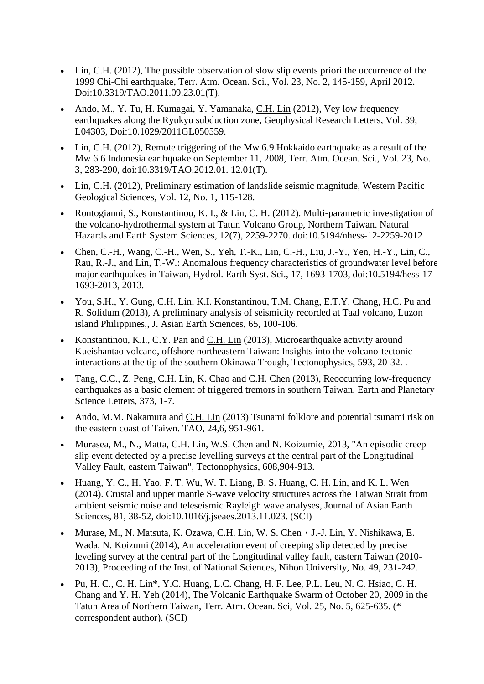- Lin, C.H. (2012), The possible observation of slow slip events priori the occurrence of the 1999 Chi-Chi earthquake, Terr. Atm. Ocean. Sci., Vol. 23, No. 2, 145-159, April 2012. Doi:10.3319/TAO.2011.09.23.01(T).
- Ando, M., Y. Tu, H. Kumagai, Y. Yamanaka, C.H. Lin (2012), Vey low frequency earthquakes along the Ryukyu subduction zone, Geophysical Research Letters, Vol. 39, L04303, Doi:10.1029/2011GL050559.
- Lin, C.H. (2012), Remote triggering of the Mw 6.9 Hokkaido earthquake as a result of the Mw 6.6 Indonesia earthquake on September 11, 2008, Terr. Atm. Ocean. Sci., Vol. 23, No. 3, 283-290, doi:10.3319/TAO.2012.01. 12.01(T).
- Lin, C.H. (2012), Preliminary estimation of landslide seismic magnitude, Western Pacific Geological Sciences, Vol. 12, No. 1, 115-128.
- Rontogianni, S., Konstantinou, K. I., & Lin, C. H. (2012). Multi-parametric investigation of the volcano-hydrothermal system at Tatun Volcano Group, Northern Taiwan. Natural Hazards and Earth System Sciences, 12(7), 2259-2270. doi:10.5194/nhess-12-2259-2012
- Chen, C.-H., Wang, C.-H., Wen, S., Yeh, T.-K., Lin, C.-H., Liu, J.-Y., Yen, H.-Y., Lin, C., Rau, R.-J., and Lin, T.-W.: Anomalous frequency characteristics of groundwater level before major earthquakes in Taiwan, Hydrol. Earth Syst. Sci., 17, 1693-1703, doi:10.5194/hess-17- 1693-2013, 2013.
- You, S.H., Y. Gung, C.H. Lin, K.I. Konstantinou, T.M. Chang, E.T.Y. Chang, H.C. Pu and R. Solidum (2013), A preliminary analysis of seismicity recorded at Taal volcano, Luzon island Philippines,, J. Asian Earth Sciences, 65, 100-106.
- Konstantinou, K.I., C.Y. Pan and C.H. Lin (2013), Microearthquake activity around Kueishantao volcano, offshore northeastern Taiwan: Insights into the volcano-tectonic interactions at the tip of the southern Okinawa Trough, Tectonophysics, 593, 20-32. .
- Tang, C.C., Z. Peng, C.H. Lin, K. Chao and C.H. Chen (2013), Reoccurring low-frequency earthquakes as a basic element of triggered tremors in southern Taiwan, Earth and Planetary Science Letters, 373, 1-7.
- Ando, M.M. Nakamura and C.H. Lin (2013) Tsunami folklore and potential tsunami risk on the eastern coast of Taiwn. TAO, 24,6, 951-961.
- Murasea, M., N., Matta, C.H. Lin, W.S. Chen and N. Koizumie, 2013, "An episodic creep slip event detected by a precise levelling surveys at the central part of the Longitudinal Valley Fault, eastern Taiwan", Tectonophysics, 608,904-913.
- Huang, Y. C., H. Yao, F. T. Wu, W. T. Liang, B. S. Huang, C. H. Lin, and K. L. Wen (2014). Crustal and upper mantle S-wave velocity structures across the Taiwan Strait from ambient seismic noise and teleseismic Rayleigh wave analyses, Journal of Asian Earth Sciences, 81, 38-52, doi:10.1016/j.jseaes.2013.11.023. (SCI)
- Murase, M., N. Matsuta, K. Ozawa, C.H. Lin, W. S. Chen, J.-J. Lin, Y. Nishikawa, E. Wada, N. Koizumi (2014), An acceleration event of creeping slip detected by precise leveling survey at the central part of the Longitudinal valley fault, eastern Taiwan (2010- 2013), Proceeding of the Inst. of National Sciences, Nihon University, No. 49, 231-242.
- Pu, H. C., C. H. Lin\*, Y.C. Huang, L.C. Chang, H. F. Lee, P.L. Leu, N. C. Hsiao, C. H. Chang and Y. H. Yeh (2014), The Volcanic Earthquake Swarm of October 20, 2009 in the Tatun Area of Northern Taiwan, Terr. Atm. Ocean. Sci, Vol. 25, No. 5, 625-635. (\* correspondent author). (SCI)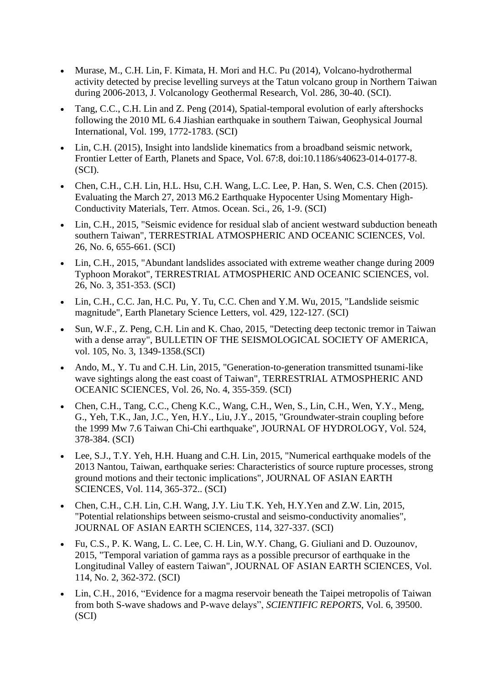- Murase, M., C.H. Lin, F. Kimata, H. Mori and H.C. Pu (2014), Volcano-hydrothermal activity detected by precise levelling surveys at the Tatun volcano group in Northern Taiwan during 2006-2013, J. Volcanology Geothermal Research, Vol. 286, 30-40. (SCI).
- Tang, C.C., C.H. Lin and Z. Peng (2014), Spatial-temporal evolution of early aftershocks following the 2010 ML 6.4 Jiashian earthquake in southern Taiwan, Geophysical Journal International, Vol. 199, 1772-1783. (SCI)
- Lin, C.H. (2015), Insight into landslide kinematics from a broadband seismic network, Frontier Letter of Earth, Planets and Space, Vol. 67:8, doi:10.1186/s40623-014-0177-8. (SCI).
- Chen, C.H., C.H. Lin, H.L. Hsu, C.H. Wang, L.C. Lee, P. Han, S. Wen, C.S. Chen (2015). Evaluating the March 27, 2013 M6.2 Earthquake Hypocenter Using Momentary High-Conductivity Materials, Terr. Atmos. Ocean. Sci., 26, 1-9. (SCI)
- Lin, C.H., 2015, "Seismic evidence for residual slab of ancient westward subduction beneath southern Taiwan", TERRESTRIAL ATMOSPHERIC AND OCEANIC SCIENCES, Vol. 26, No. 6, 655-661. (SCI)
- Lin, C.H., 2015, "Abundant landslides associated with extreme weather change during 2009 Typhoon Morakot", TERRESTRIAL ATMOSPHERIC AND OCEANIC SCIENCES, vol. 26, No. 3, 351-353. (SCI)
- Lin, C.H., C.C. Jan, H.C. Pu, Y. Tu, C.C. Chen and Y.M. Wu, 2015, "Landslide seismic magnitude", Earth Planetary Science Letters, vol. 429, 122-127. (SCI)
- Sun, W.F., Z. Peng, C.H. Lin and K. Chao, 2015, "Detecting deep tectonic tremor in Taiwan with a dense array", BULLETIN OF THE SEISMOLOGICAL SOCIETY OF AMERICA, vol. 105, No. 3, 1349-1358.(SCI)
- Ando, M., Y. Tu and C.H. Lin, 2015, "Generation-to-generation transmitted tsunami-like wave sightings along the east coast of Taiwan", TERRESTRIAL ATMOSPHERIC AND OCEANIC SCIENCES, Vol. 26, No. 4, 355-359. (SCI)
- Chen, C.H., Tang, C.C., Cheng K.C., Wang, C.H., Wen, S., Lin, C.H., Wen, Y.Y., Meng, G., Yeh, T.K., Jan, J.C., Yen, H.Y., Liu, J.Y., 2015, "Groundwater-strain coupling before the 1999 Mw 7.6 Taiwan Chi-Chi earthquake", JOURNAL OF HYDROLOGY, Vol. 524, 378-384. (SCI)
- Lee, S.J., T.Y. Yeh, H.H. Huang and C.H. Lin, 2015, "Numerical earthquake models of the 2013 Nantou, Taiwan, earthquake series: Characteristics of source rupture processes, strong ground motions and their tectonic implications", JOURNAL OF ASIAN EARTH SCIENCES, Vol. 114, 365-372.. (SCI)
- Chen, C.H., C.H. Lin, C.H. Wang, J.Y. Liu T.K. Yeh, H.Y. Yen and Z.W. Lin, 2015, "Potential relationships between seismo-crustal and seismo-conductivity anomalies", JOURNAL OF ASIAN EARTH SCIENCES, 114, 327-337. (SCI)
- Fu, C.S., P. K. Wang, L. C. Lee, C. H. Lin, W.Y. Chang, G. Giuliani and D. Ouzounov, 2015, "Temporal variation of gamma rays as a possible precursor of earthquake in the Longitudinal Valley of eastern Taiwan", JOURNAL OF ASIAN EARTH SCIENCES, Vol. 114, No. 2, 362-372. (SCI)
- Lin, C.H., 2016, "Evidence for a magma reservoir beneath the Taipei metropolis of Taiwan from both S-wave shadows and P-wave delays", *SCIENTIFIC REPORTS*, Vol. 6, 39500. (SCI)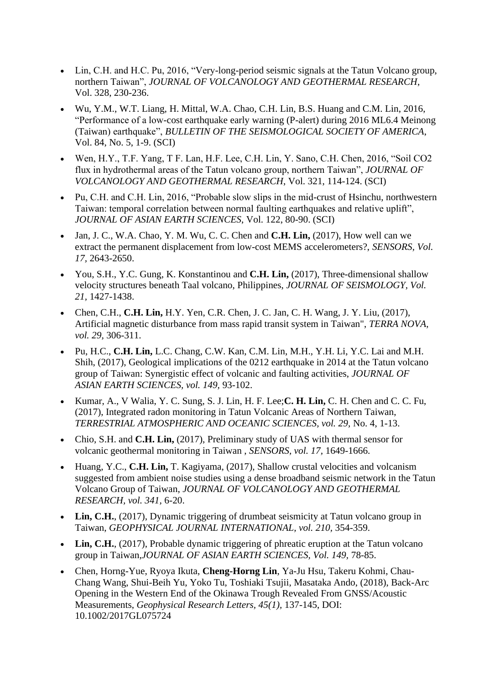- Lin, C.H. and H.C. Pu, 2016, "Very-long-period seismic signals at the Tatun Volcano group, northern Taiwan", *JOURNAL OF VOLCANOLOGY AND GEOTHERMAL RESEARCH*, Vol. 328, 230-236.
- Wu, Y.M., W.T. Liang, H. Mittal, W.A. Chao, C.H. Lin, B.S. Huang and C.M. Lin, 2016, "Performance of a low-cost earthquake early warning (P-alert) during 2016 ML6.4 Meinong (Taiwan) earthquake", *BULLETIN OF THE SEISMOLOGICAL SOCIETY OF AMERICA*, Vol. 84, No. 5, 1-9. (SCI)
- Wen, H.Y., T.F. Yang, T F. Lan, H.F. Lee, C.H. Lin, Y. Sano, C.H. Chen, 2016, "Soil CO2 flux in hydrothermal areas of the Tatun volcano group, northern Taiwan", *JOURNAL OF VOLCANOLOGY AND GEOTHERMAL RESEARCH*, Vol. 321, 114-124. (SCI)
- Pu, C.H. and C.H. Lin, 2016, "Probable slow slips in the mid-crust of Hsinchu, northwestern Taiwan: temporal correlation between normal faulting earthquakes and relative uplift", *JOURNAL OF ASIAN EARTH SCIENCES*, Vol. 122, 80-90. (SCI)
- Jan, J. C., W.A. Chao, Y. M. Wu, C. C. Chen and **C.H. Lin,** (2017), How well can we extract the permanent displacement from low-cost MEMS accelerometers?, *SENSORS, Vol. 17,* 2643-2650.
- You, S.H., Y.C. Gung, K. Konstantinou and **C.H. Lin,** (2017), Three-dimensional shallow velocity structures beneath Taal volcano, Philippines, *JOURNAL OF SEISMOLOGY, Vol. 21,* 1427-1438.
- Chen, C.H., **C.H. Lin,** H.Y. Yen, C.R. Chen, J. C. Jan, C. H. Wang, J. Y. Liu, (2017), Artificial magnetic disturbance from mass rapid transit system in Taiwan", *TERRA NOVA, vol. 29,* 306-311.
- Pu, H.C., **C.H. Lin,** L.C. Chang, C.W. Kan, C.M. Lin, M.H., Y.H. Li, Y.C. Lai and M.H. Shih, (2017), Geological implications of the 0212 earthquake in 2014 at the Tatun volcano group of Taiwan: Synergistic effect of volcanic and faulting activities, *JOURNAL OF ASIAN EARTH SCIENCES, vol. 149,* 93-102.
- Kumar, A., V Walia, Y. C. Sung, S. J. Lin, H. F. Lee;**C. H. Lin,** C. H. Chen and C. C. Fu, (2017), Integrated radon monitoring in Tatun Volcanic Areas of Northern Taiwan, *TERRESTRIAL ATMOSPHERIC AND OCEANIC SCIENCES, vol. 29,* No. 4, 1-13.
- Chio, S.H. and **C.H. Lin,** (2017), Preliminary study of UAS with thermal sensor for volcanic geothermal monitoring in Taiwan , *SENSORS, vol. 17,* 1649-1666.
- Huang, Y.C., **C.H. Lin,** T. Kagiyama, (2017), Shallow crustal velocities and volcanism suggested from ambient noise studies using a dense broadband seismic network in the Tatun Volcano Group of Taiwan, *JOURNAL OF VOLCANOLOGY AND GEOTHERMAL RESEARCH, vol. 341,* 6-20.
- Lin, C.H., (2017), Dynamic triggering of drumbeat seismicity at Tatun volcano group in Taiwan, *GEOPHYSICAL JOURNAL INTERNATIONAL, vol. 210,* 354-359.
- Lin, C.H., (2017), Probable dynamic triggering of phreatic eruption at the Tatun volcano group in Taiwan,*JOURNAL OF ASIAN EARTH SCIENCES, Vol. 149,* 78-85.
- Chen, Horng-Yue, Ryoya Ikuta, **Cheng-Horng Lin**, Ya-Ju Hsu, Takeru Kohmi, Chau-Chang Wang, Shui-Beih Yu, Yoko Tu, Toshiaki Tsujii, Masataka Ando, (2018), Back-Arc Opening in the Western End of the Okinawa Trough Revealed From GNSS/Acoustic Measurements, *Geophysical Research Letters, 45(1),* 137-145, DOI: 10.1002/2017GL075724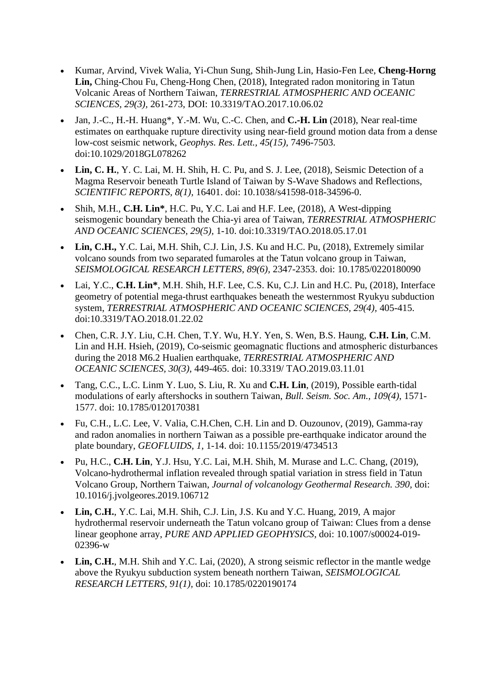- Kumar, Arvind, Vivek Walia, Yi-Chun Sung, Shih-Jung Lin, Hasio-Fen Lee, **Cheng-Horng Lin,** Ching-Chou Fu, Cheng-Hong Chen, (2018), Integrated radon monitoring in Tatun Volcanic Areas of Northern Taiwan, *TERRESTRIAL ATMOSPHERIC AND OCEANIC SCIENCES, 29(3),* 261-273, DOI: 10.3319/TAO.2017.10.06.02
- Jan, J.-C., H.-H. Huang\*, Y.-M. Wu, C.-C. Chen, and **C.-H. Lin** (2018), Near real-time estimates on earthquake rupture directivity using near-field ground motion data from a dense low-cost seismic network, *Geophys. Res. Lett., 45(15),* 7496-7503. doi:10.1029/2018GL078262
- **Lin, C. H.**, Y. C. Lai, M. H. Shih, H. C. Pu, and S. J. Lee, (2018), Seismic Detection of a Magma Reservoir beneath Turtle Island of Taiwan by S-Wave Shadows and Reflections, *SCIENTIFIC REPORTS, 8(1),* 16401. doi: 10.1038/s41598-018-34596-0.
- Shih, M.H., **C.H. Lin\***, H.C. Pu, Y.C. Lai and H.F. Lee, (2018), A West-dipping seismogenic boundary beneath the Chia-yi area of Taiwan, *TERRESTRIAL ATMOSPHERIC AND OCEANIC SCIENCES, 29(5),* 1-10. doi:10.3319/TAO.2018.05.17.01
- **Lin, C.H.,** Y.C. Lai, M.H. Shih, C.J. Lin, J.S. Ku and H.C. Pu, (2018), Extremely similar volcano sounds from two separated fumaroles at the Tatun volcano group in Taiwan, *SEISMOLOGICAL RESEARCH LETTERS, 89(6),* 2347-2353. doi: 10.1785/0220180090
- Lai, Y.C., **C.H. Lin\***, M.H. Shih, H.F. Lee, C.S. Ku, C.J. Lin and H.C. Pu, (2018), Interface geometry of potential mega-thrust earthquakes beneath the westernmost Ryukyu subduction system, *TERRESTRIAL ATMOSPHERIC AND OCEANIC SCIENCES, 29(4),* 405-415. doi:10.3319/TAO.2018.01.22.02
- Chen, C.R. J.Y. Liu, C.H. Chen, T.Y. Wu, H.Y. Yen, S. Wen, B.S. Haung, **C.H. Lin**, C.M. Lin and H.H. Hsieh, (2019), Co-seismic geomagnatic fluctions and atmospheric disturbances during the 2018 M6.2 Hualien earthquake, *TERRESTRIAL ATMOSPHERIC AND OCEANIC SCIENCES, 30(3)*, 449-465. doi: 10.3319/ TAO.2019.03.11.01
- Tang, C.C., L.C. Linm Y. Luo, S. Liu, R. Xu and **C.H. Lin**, (2019), Possible earth-tidal modulations of early aftershocks in southern Taiwan, *Bull. Seism. Soc. Am., 109(4)*, 1571- 1577. doi: 10.1785/0120170381
- Fu, C.H., L.C. Lee, V. Valia, C.H.Chen, C.H. Lin and D. Ouzounov, (2019), Gamma-ray and radon anomalies in northern Taiwan as a possible pre-earthquake indicator around the plate boundary, *GEOFLUIDS*, *1*, 1-14. doi: 10.1155/2019/4734513
- Pu, H.C., **C.H. Lin**, Y.J. Hsu, Y.C. Lai, M.H. Shih, M. Murase and L.C. Chang, (2019), Volcano-hydrothermal inflation revealed through spatial variation in stress field in Tatun Volcano Group, Northern Taiwan, *Journal of volcanology Geothermal Research. 390,* doi: 10.1016/j.jvolgeores.2019.106712
- **Lin, C.H.**, Y.C. Lai, M.H. Shih, C.J. Lin, J.S. Ku and Y.C. Huang, 2019, A major hydrothermal reservoir underneath the Tatun volcano group of Taiwan: Clues from a dense linear geophone array, *PURE AND APPLIED GEOPHYSICS*, doi: 10.1007/s00024-019- 02396-w
- Lin, C.H., M.H. Shih and Y.C. Lai, (2020), A strong seismic reflector in the mantle wedge above the Ryukyu subduction system beneath northern Taiwan, *SEISMOLOGICAL RESEARCH LETTERS, 91(1),* doi: 10.1785/0220190174